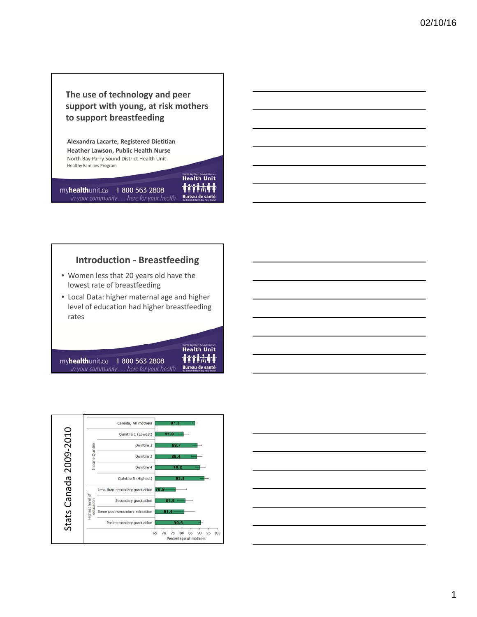# **The use of technology and peer support with young, at risk mothers to support breastfeeding**

**Health Unit** immi

Bureau de santé

**Health Unit** tritati

**Bureau de santé** 

**Alexandra Lacarte, Registered Dietitian Heather Lawson, Public Health Nurse** North Bay Parry Sound District Health Unit Healthy Families Program

myhealthunit.ca 1 800 563 2808 in your community . . . here for your health

# **Introduction ‐ Breastfeeding**

- Women less that 20 years old have the lowest rate of breastfeeding
- Local Data: higher maternal age and higher level of education had higher breastfeeding rates

myhealthunit.ca 1 800 563 2808 in your community . . . here for your health



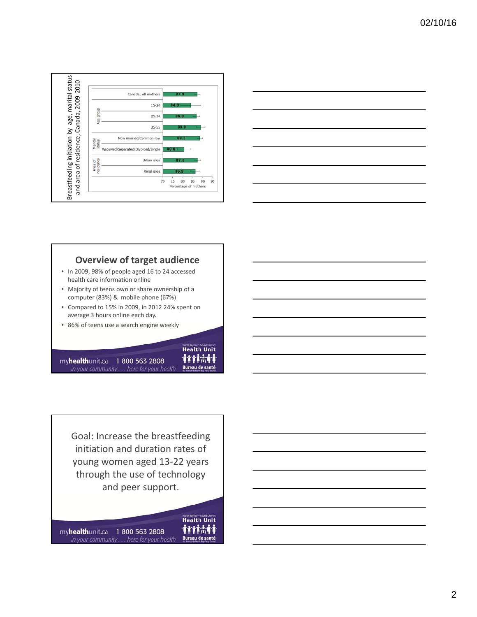



## **Overview of target audience**

- In 2009, 98% of people aged 16 to 24 accessed health care information online
- Majority of teens own or share ownership of a computer (83%) & mobile phone (67%)
- Compared to 15% in 2009, in 2012 24% spent on average 3 hours online each day.

**Health Unit** tritati

**Bureau de santé** 

• 86% of teens use a search engine weekly

myhealthunit.ca 1 800 563 2808 in your community . . . here for your health

Goal: Increase the breastfeeding initiation and duration rates of young women aged 13‐22 years through the use of technology and peer support.

**Health Unit** tritati myhealthunit.ca 1 800 563 2808 Bureau de santé in your community . . . here for your health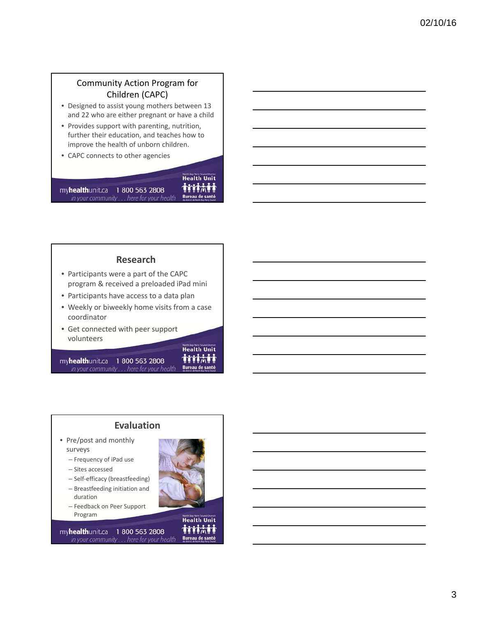## Community Action Program for Children (CAPC)

- Designed to assist young mothers between 13 and 22 who are either pregnant or have a child
- Provides support with parenting, nutrition, further their education, and teaches how to improve the health of unborn children.
- CAPC connects to other agencies

myhealthunit.ca 1 800 563 2808 in your community . . . here for your health

immi Bureau de santé

**North Bay Parry Sound District** 

#### **Research**

- Participants were a part of the CAPC program & received a preloaded iPad mini
- Participants have access to a data plan
- Weekly or biweekly home visits from a case coordinator
- Get connected with peer support volunteers

myhealthunit.ca 1 800 563 2808 in your community . . . here for your health



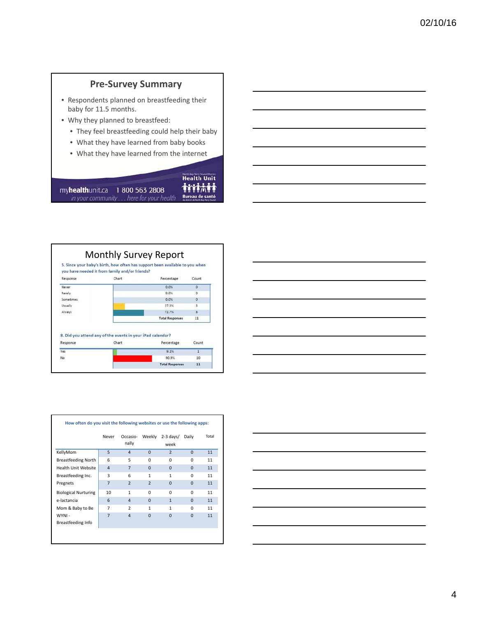# **Pre‐Survey Summary**

- Respondents planned on breastfeeding their baby for 11.5 months.
- Why they planned to breastfeed:
	- They feel breastfeeding could help their baby
	- What they have learned from baby books
	- What they have learned from the internet

**North Bay Party Sond District** tritati Bureau de santé

myhealthunit.ca 1 800 563 2808 in your community... here for your health

Monthly Survey Report<br>5. Since your baby's birth, how often has support been available to you you have needed it from family and/or friends? Chart Response Percentage ċ Never 0.0% Rarely  $0.0%$ Sometimes 0.0% Usually 27.3% Always  $72.7%$ **Total Responses** 

Percentage

 $9.1%$ 

90.9% **Total Responses** 

8. Did you attend any of the events in your iPad calendar?

Chart

Response

 $\frac{1}{\text{Yes}}$ 

No

| when<br>ount<br>$\overline{\phantom{a}}$<br>$\circ$<br>$\mathbf 0$<br>$\ensuremath{\mathsf{3}}$<br>$\mathbf{3}$<br>$11\,$<br>Count<br>$\overline{\phantom{a}}$ 1<br>10<br>$11\,$ |  |
|----------------------------------------------------------------------------------------------------------------------------------------------------------------------------------|--|
|                                                                                                                                                                                  |  |
|                                                                                                                                                                                  |  |
|                                                                                                                                                                                  |  |
|                                                                                                                                                                                  |  |
|                                                                                                                                                                                  |  |
|                                                                                                                                                                                  |  |
|                                                                                                                                                                                  |  |
|                                                                                                                                                                                  |  |
|                                                                                                                                                                                  |  |
|                                                                                                                                                                                  |  |
|                                                                                                                                                                                  |  |
|                                                                                                                                                                                  |  |
|                                                                                                                                                                                  |  |
|                                                                                                                                                                                  |  |
|                                                                                                                                                                                  |  |
|                                                                                                                                                                                  |  |
|                                                                                                                                                                                  |  |

|                              | Never          | Occasio-<br>nally        | Weekly         | $2-3$ days/<br>week | Daily    | Total |
|------------------------------|----------------|--------------------------|----------------|---------------------|----------|-------|
| KellyMom                     | 5              | $\overline{4}$           | $\Omega$       | $\overline{2}$      | $\Omega$ | 11    |
| <b>Breastfeeding North</b>   | 6              | 5                        | $\Omega$       | $\Omega$            | $\Omega$ | 11    |
| Health Unit Website          | $\overline{4}$ | $\overline{7}$           | $\Omega$       | $\Omega$            | $\Omega$ | 11    |
| Breastfeeding Inc.           | 3              | 6                        | 1              | 1                   | $\Omega$ | 11    |
| Pregnets                     | $\overline{7}$ | $\overline{2}$           | $\overline{2}$ | $\Omega$            | $\Omega$ | 11    |
| <b>Biological Nurturing</b>  | 10             | 1                        | $\Omega$       | $\Omega$            | O        | 11    |
| e-lactancia                  | 6              | $\overline{4}$           | $\Omega$       | $\mathbf{1}$        | $\Omega$ | 11    |
| Mom & Baby to Be             | 7              | $\overline{\phantom{a}}$ | 1              | 1                   | O        | 11    |
| WYNI -<br>Breastfeeding Info | $\overline{7}$ | $\overline{4}$           | $\Omega$       | $\Omega$            | $\Omega$ | 11    |

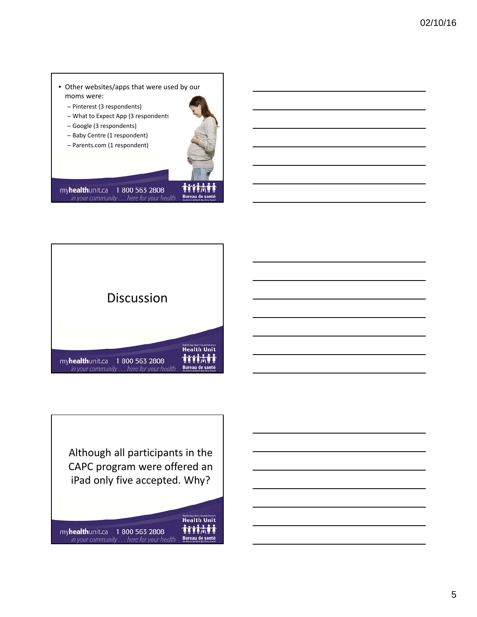- Other websites/apps that were used by our moms were:
	- Pinterest (3 respondents)
	- What to Expect App (3 respondents)
	- Google (3 respondents)
	- Baby Centre (1 respondent)
	- Parents.com (1 respondent)



myhealthunit.ca 1 800 563 2808 in your community . . . here for your health





**Health Unit** tritati myhealthunit.ca 1 800 563 2808 Bureau de santé in your community . . . here for your health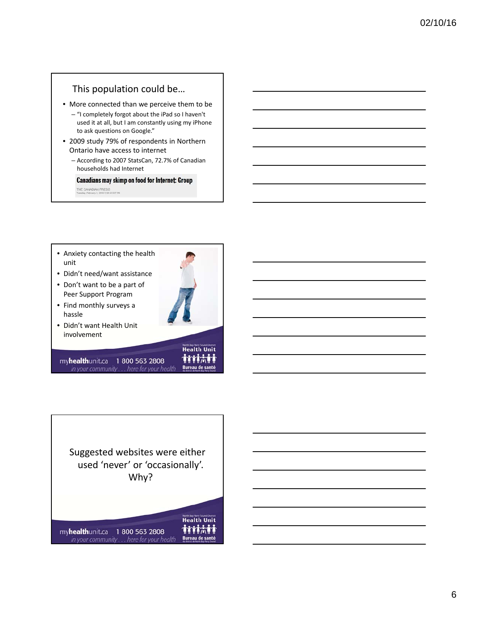## This population could be…

- More connected than we perceive them to be
	- "I completely forgot about the iPad so I haven't used it at all, but I am constantly using my iPhone to ask questions on Google."
- 2009 study 79% of respondents in Northern Ontario have access to internet
	- According to 2007 StatsCan, 72.7% of Canadian households had Internet

**Canadians may skimp on food for Internet: Group** 

THE CANADIAN PRESS<br>THERE'S TRINING 2 2016 5:38:32 EST PM

- Anxiety contacting the health unit
- Didn't need/want assistance
- Don't want to be a part of Peer Support Program
- Find monthly surveys a hassle
- Didn't want Health Unit involvement

myhealthunit.ca 1 800 563 2808 in your community . . . here for your health **Health Unit** tritati

**Bureau de santé** 

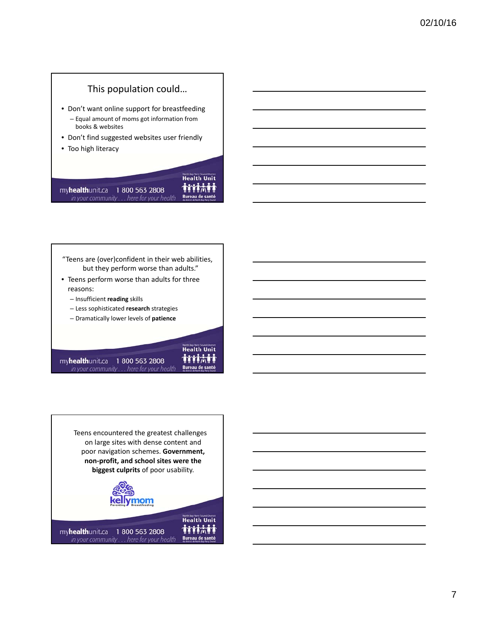# This population could…

- Don't want online support for breastfeeding – Equal amount of moms got information from books & websites
- Don't find suggested websites user friendly
- Too high literacy



myhealthunit.ca 1 800 563 2808 in your community . . . here for your health

"Teens are (over)confident in their web abilities, but they perform worse than adults."

- Teens perform worse than adults for three reasons:
	- Insufficient **reading** skills
	- Less sophisticated **research** strategies
	- Dramatically lower levels of **patience**

myhealthunit.ca 1 800 563 2808 in your community . . . here for your health

**Health Unit** tritati **Bureau de santé** 

Teens encountered the greatest challenges on large sites with dense content and poor navigation schemes. **Government, non‐profit, and school sites were the biggest culprits** of poor usability.

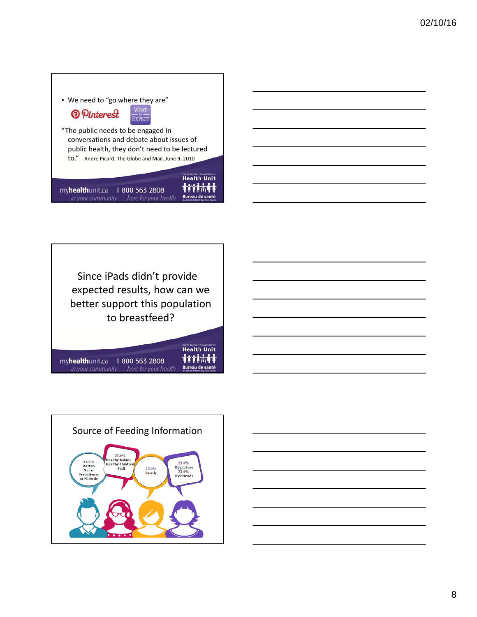| • We need to "go where they are"                                                                                                |                                |  |  |  |  |
|---------------------------------------------------------------------------------------------------------------------------------|--------------------------------|--|--|--|--|
| <b>O</b> Pinterest                                                                                                              |                                |  |  |  |  |
| "The public needs to be engaged in<br>conversations and debate about issues of<br>public health, they don't need to be lectured |                                |  |  |  |  |
| to." -Andre Picard, The Globe and Mail, June 9, 2010                                                                            | North Bay Parry Sound District |  |  |  |  |
| my <b>health</b> unit.ca<br>1800 563 2808<br>in your community here for your health                                             | <b>Health Un</b>               |  |  |  |  |

٦

 $\Gamma$ 



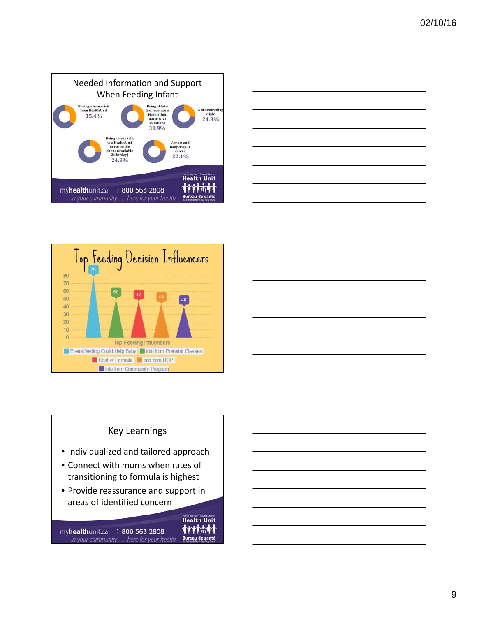







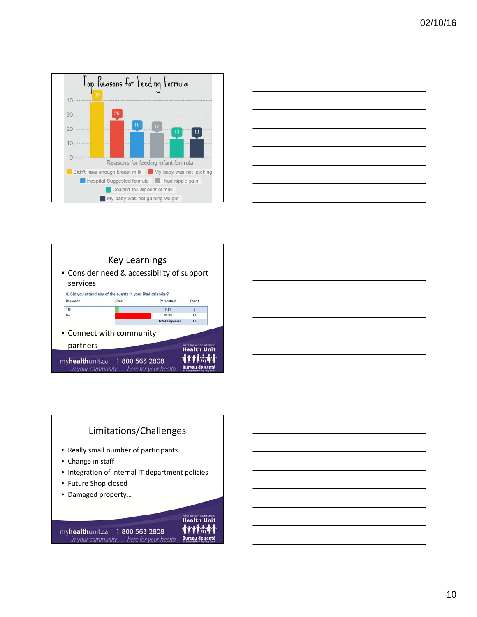